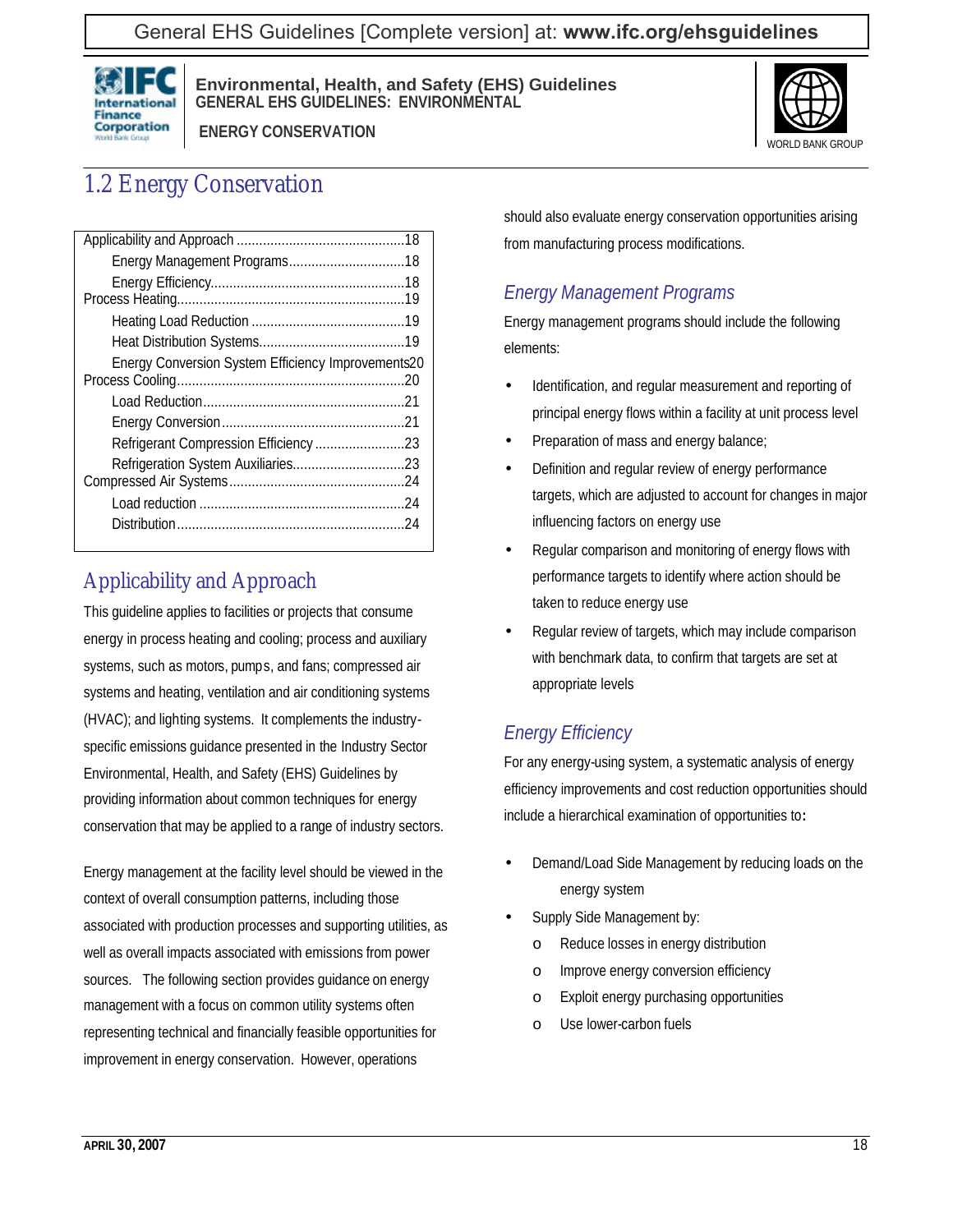

 **ENERGY CONSERVATION**



# 1.2 Energy Conservation

| Energy Conversion System Efficiency Improvements20 |  |
|----------------------------------------------------|--|
|                                                    |  |
|                                                    |  |
| Refrigerant Compression Efficiency23               |  |
|                                                    |  |
|                                                    |  |
|                                                    |  |
|                                                    |  |
|                                                    |  |

# Applicability and Approach

This guideline applies to facilities or projects that consume energy in process heating and cooling; process and auxiliary systems, such as motors, pumps, and fans; compressed air systems and heating, ventilation and air conditioning systems (HVAC); and lighting systems. It complements the industryspecific emissions guidance presented in the Industry Sector Environmental, Health, and Safety (EHS) Guidelines by providing information about common techniques for energy conservation that may be applied to a range of industry sectors.

Energy management at the facility level should be viewed in the context of overall consumption patterns, including those associated with production processes and supporting utilities, as well as overall impacts associated with emissions from power sources. The following section provides guidance on energy management with a focus on common utility systems often representing technical and financially feasible opportunities for improvement in energy conservation. However, operations

should also evaluate energy conservation opportunities arising from manufacturing process modifications.

## *Energy Management Programs*

Energy management programs should include the following elements:

- Identification, and regular measurement and reporting of principal energy flows within a facility at unit process level
- Preparation of mass and energy balance;
- Definition and regular review of energy performance targets, which are adjusted to account for changes in major influencing factors on energy use
- Regular comparison and monitoring of energy flows with performance targets to identify where action should be taken to reduce energy use
- Regular review of targets, which may include comparison with benchmark data, to confirm that targets are set at appropriate levels

## *Energy Efficiency*

For any energy-using system, a systematic analysis of energy efficiency improvements and cost reduction opportunities should include a hierarchical examination of opportunities to**:**

- Demand/Load Side Management by reducing loads on the energy system
- Supply Side Management by:
	- o Reduce losses in energy distribution
	- o Improve energy conversion efficiency
	- o Exploit energy purchasing opportunities
	- o Use lower-carbon fuels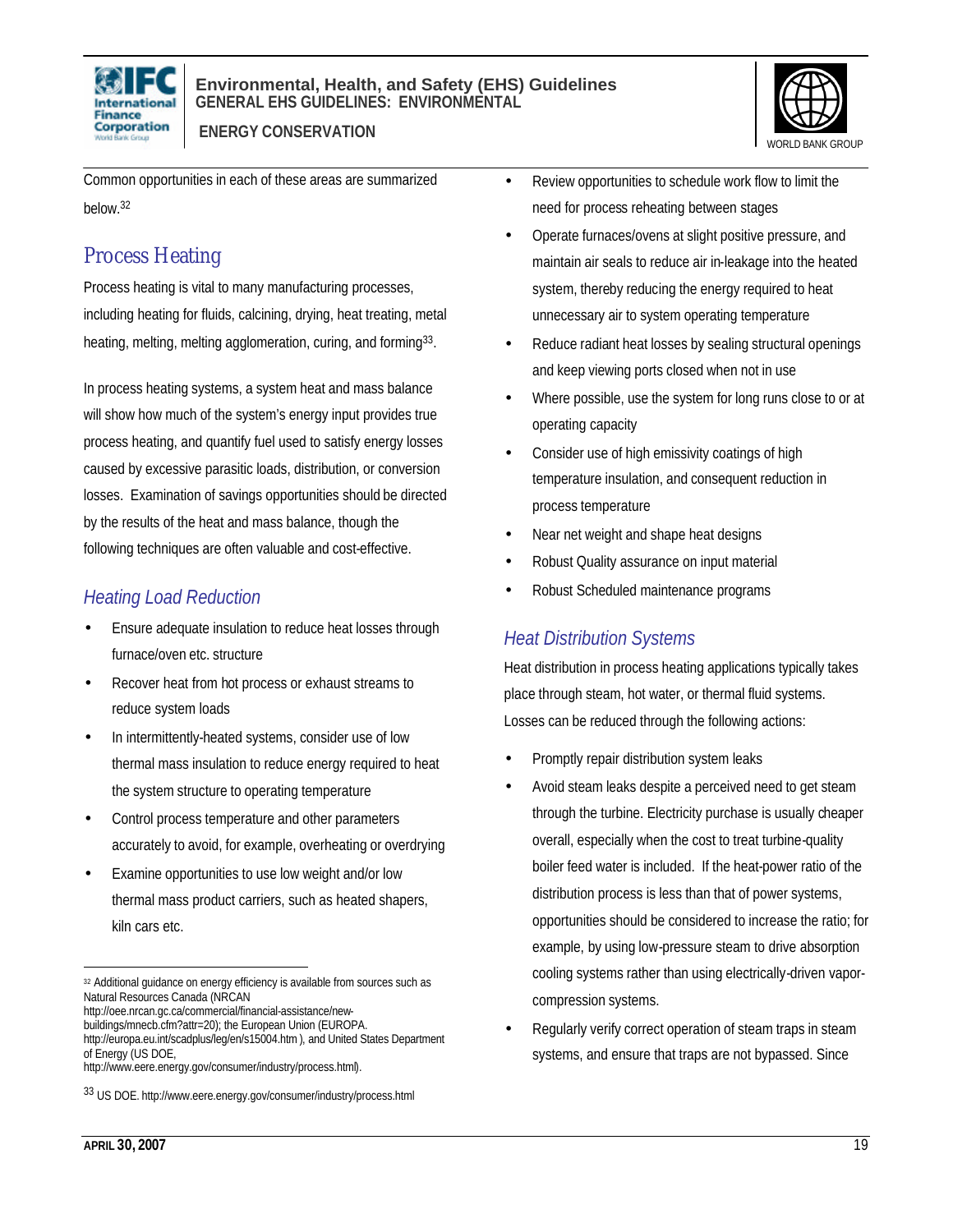



 **ENERGY CONSERVATION**

Common opportunities in each of these areas are summarized below.<sup>32</sup>

## Process Heating

Process heating is vital to many manufacturing processes, including heating for fluids, calcining, drying, heat treating, metal heating, melting, melting agglomeration, curing, and forming<sup>33</sup>.

In process heating systems, a system heat and mass balance will show how much of the system's energy input provides true process heating, and quantify fuel used to satisfy energy losses caused by excessive parasitic loads, distribution, or conversion losses. Examination of savings opportunities should be directed by the results of the heat and mass balance, though the following techniques are often valuable and cost-effective.

## *Heating Load Reduction*

- Ensure adequate insulation to reduce heat losses through furnace/oven etc. structure
- Recover heat from hot process or exhaust streams to reduce system loads
- In intermittently-heated systems, consider use of low thermal mass insulation to reduce energy required to heat the system structure to operating temperature
- Control process temperature and other parameters accurately to avoid, for example, overheating or overdrying
- Examine opportunities to use low weight and/or low thermal mass product carriers, such as heated shapers, kiln cars etc.

http://oee.nrcan.gc.ca/commercial/financial-assistance/new-

buildings/mnecb.cfm?attr=20); the European Union (EUROPA. http://europa.eu.int/scadplus/leg/en/s15004.htm), and United States Department of Energy (US DOE,

- Review opportunities to schedule work flow to limit the need for process reheating between stages
- Operate furnaces/ovens at slight positive pressure, and maintain air seals to reduce air in-leakage into the heated system, thereby reducing the energy required to heat unnecessary air to system operating temperature
- Reduce radiant heat losses by sealing structural openings and keep viewing ports closed when not in use
- Where possible, use the system for long runs close to or at operating capacity
- Consider use of high emissivity coatings of high temperature insulation, and consequent reduction in process temperature
- Near net weight and shape heat designs
- Robust Quality assurance on input material
- Robust Scheduled maintenance programs

## *Heat Distribution Systems*

Heat distribution in process heating applications typically takes place through steam, hot water, or thermal fluid systems. Losses can be reduced through the following actions:

- Promptly repair distribution system leaks
- Avoid steam leaks despite a perceived need to get steam through the turbine. Electricity purchase is usually cheaper overall, especially when the cost to treat turbine-quality boiler feed water is included. If the heat-power ratio of the distribution process is less than that of power systems, opportunities should be considered to increase the ratio; for example, by using low-pressure steam to drive absorption cooling systems rather than using electrically-driven vaporcompression systems.
- Regularly verify correct operation of steam traps in steam systems, and ensure that traps are not bypassed. Since

 $\overline{a}$ 32 Additional guidance on energy efficiency is available from sources such as Natural Resources Canada (NRCAN

http://www.eere.energy.gov/consumer/industry/process.html).

<sup>33</sup> US DOE. http://www.eere.energy.gov/consumer/industry/process.html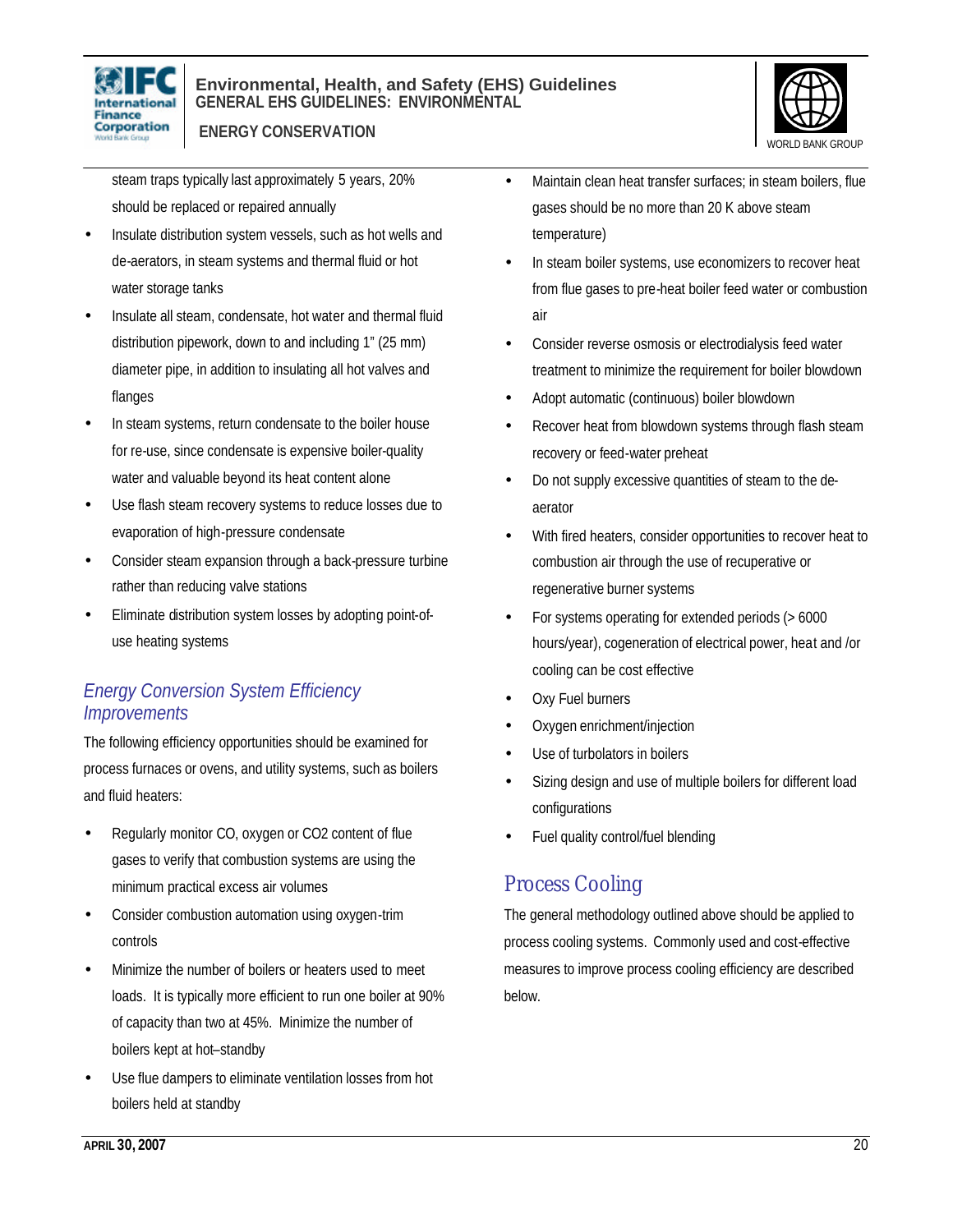



 **ENERGY CONSERVATION**

steam traps typically last approximately 5 years, 20% should be replaced or repaired annually

- Insulate distribution system vessels, such as hot wells and de-aerators, in steam systems and thermal fluid or hot water storage tanks
- Insulate all steam, condensate, hot water and thermal fluid distribution pipework, down to and including 1" (25 mm) diameter pipe, in addition to insulating all hot valves and flanges
- In steam systems, return condensate to the boiler house for re-use, since condensate is expensive boiler-quality water and valuable beyond its heat content alone
- Use flash steam recovery systems to reduce losses due to evaporation of high-pressure condensate
- Consider steam expansion through a back-pressure turbine rather than reducing valve stations
- Eliminate distribution system losses by adopting point-ofuse heating systems

### *Energy Conversion System Efficiency Improvements*

The following efficiency opportunities should be examined for process furnaces or ovens, and utility systems, such as boilers and fluid heaters:

- Regularly monitor CO, oxygen or CO2 content of flue gases to verify that combustion systems are using the minimum practical excess air volumes
- Consider combustion automation using oxygen-trim controls
- Minimize the number of boilers or heaters used to meet loads. It is typically more efficient to run one boiler at 90% of capacity than two at 45%. Minimize the number of boilers kept at hot–standby
- Use flue dampers to eliminate ventilation losses from hot boilers held at standby
- Maintain clean heat transfer surfaces; in steam boilers, flue gases should be no more than 20 K above steam temperature)
- In steam boiler systems, use economizers to recover heat from flue gases to pre-heat boiler feed water or combustion air
- Consider reverse osmosis or electrodialysis feed water treatment to minimize the requirement for boiler blowdown
- Adopt automatic (continuous) boiler blowdown
- Recover heat from blowdown systems through flash steam recovery or feed-water preheat
- Do not supply excessive quantities of steam to the deaerator
- With fired heaters, consider opportunities to recover heat to combustion air through the use of recuperative or regenerative burner systems
- For systems operating for extended periods (> 6000 hours/year), cogeneration of electrical power, heat and /or cooling can be cost effective
- Oxy Fuel burners
- Oxygen enrichment/injection
- Use of turbolators in boilers
- Sizing design and use of multiple boilers for different load configurations
- Fuel quality control/fuel blending

## Process Cooling

The general methodology outlined above should be applied to process cooling systems. Commonly used and cost-effective measures to improve process cooling efficiency are described below.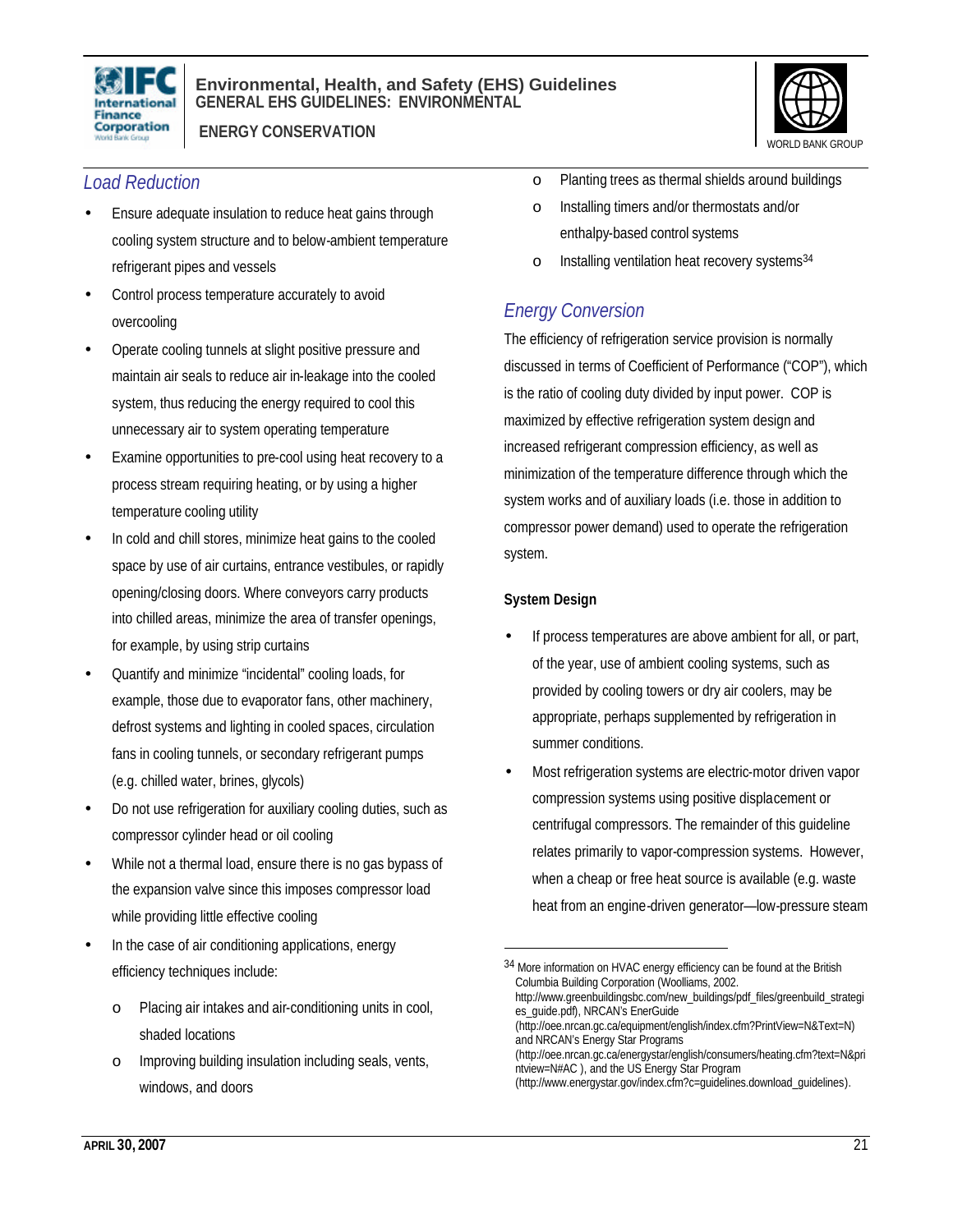

 **ENERGY CONSERVATION**



### *Load Reduction*

- Ensure adequate insulation to reduce heat gains through cooling system structure and to below-ambient temperature refrigerant pipes and vessels
- Control process temperature accurately to avoid overcooling
- Operate cooling tunnels at slight positive pressure and maintain air seals to reduce air in-leakage into the cooled system, thus reducing the energy required to cool this unnecessary air to system operating temperature
- Examine opportunities to pre-cool using heat recovery to a process stream requiring heating, or by using a higher temperature cooling utility
- In cold and chill stores, minimize heat gains to the cooled space by use of air curtains, entrance vestibules, or rapidly opening/closing doors. Where conveyors carry products into chilled areas, minimize the area of transfer openings, for example, by using strip curtains
- Quantify and minimize "incidental" cooling loads, for example, those due to evaporator fans, other machinery, defrost systems and lighting in cooled spaces, circulation fans in cooling tunnels, or secondary refrigerant pumps (e.g. chilled water, brines, glycols)
- Do not use refrigeration for auxiliary cooling duties, such as compressor cylinder head or oil cooling
- While not a thermal load, ensure there is no gas bypass of the expansion valve since this imposes compressor load while providing little effective cooling
- In the case of air conditioning applications, energy efficiency techniques include:
	- o Placing air intakes and air-conditioning units in cool, shaded locations
	- o Improving building insulation including seals, vents, windows, and doors
- o Planting trees as thermal shields around buildings
- o Installing timers and/or thermostats and/or enthalpy-based control systems
- o Installing ventilation heat recovery systems<sup>34</sup>

### *Energy Conversion*

The efficiency of refrigeration service provision is normally discussed in terms of Coefficient of Performance ("COP"), which is the ratio of cooling duty divided by input power. COP is maximized by effective refrigeration system design and increased refrigerant compression efficiency, as well as minimization of the temperature difference through which the system works and of auxiliary loads (i.e. those in addition to compressor power demand) used to operate the refrigeration system.

#### **System Design**

 $\overline{a}$ 

- If process temperatures are above ambient for all, or part, of the year, use of ambient cooling systems, such as provided by cooling towers or dry air coolers, may be appropriate, perhaps supplemented by refrigeration in summer conditions.
- Most refrigeration systems are electric-motor driven vapor compression systems using positive displacement or centrifugal compressors. The remainder of this guideline relates primarily to vapor-compression systems. However, when a cheap or free heat source is available (e.g. waste heat from an engine-driven generator—low-pressure steam

<sup>34</sup> More information on HVAC energy efficiency can be found at the British Columbia Building Corporation (Woolliams, 2002.

http://www.greenbuildingsbc.com/new\_buildings/pdf\_files/greenbuild\_strategi es\_guide.pdf), NRCAN's EnerGuide

<sup>(</sup>http://oee.nrcan.gc.ca/equipment/english/index.cfm?PrintView=N&Text=N) and NRCAN's Energy Star Programs

<sup>(</sup>http://oee.nrcan.gc.ca/energystar/english/consumers/heating.cfm?text=N&pri ntview=N#AC ), and the US Energy Star Program

<sup>(</sup>http://www.energystar.gov/index.cfm?c=guidelines.download\_guidelines).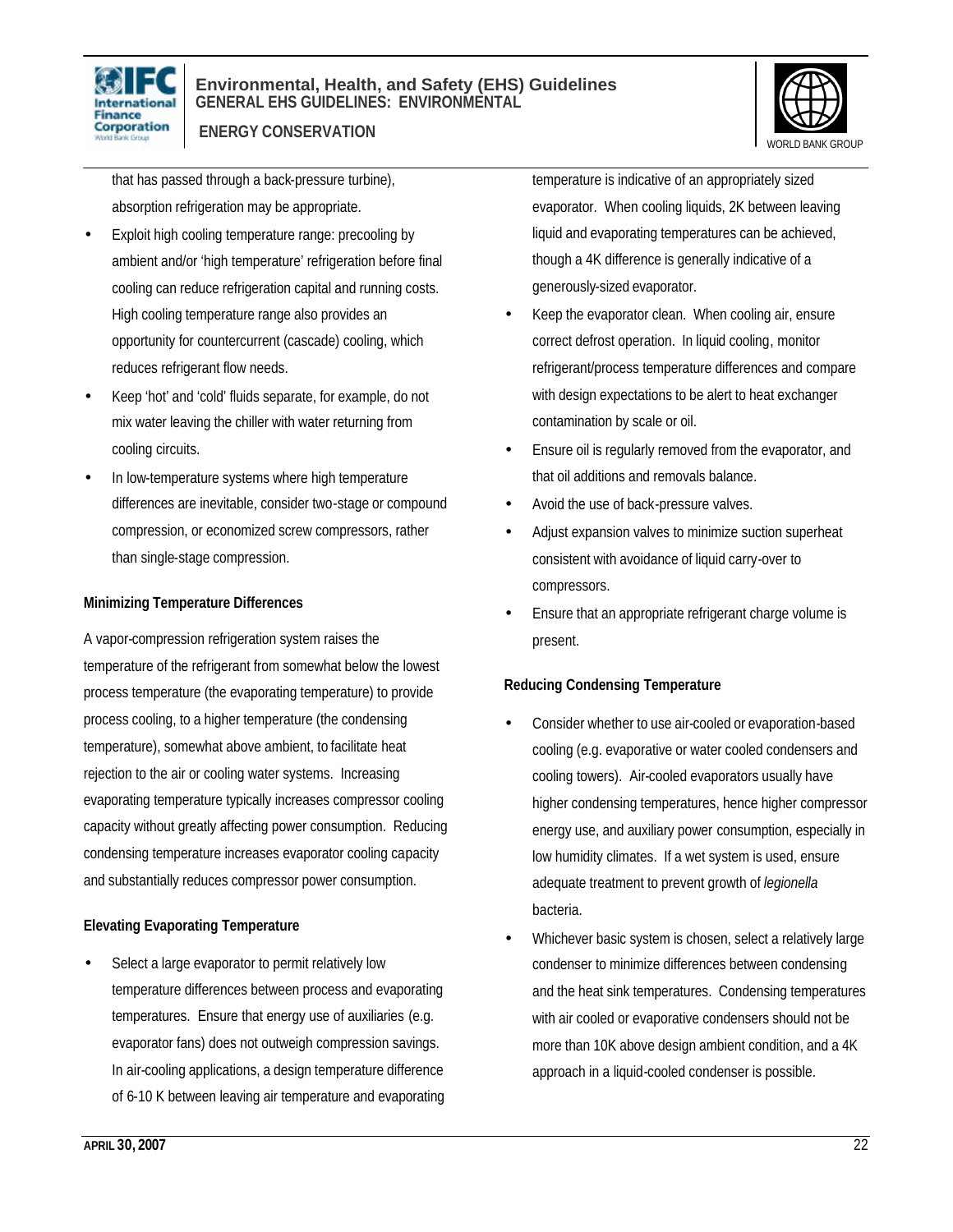

 **ENERGY CONSERVATION**



that has passed through a back-pressure turbine), absorption refrigeration may be appropriate.

- Exploit high cooling temperature range: precooling by ambient and/or 'high temperature' refrigeration before final cooling can reduce refrigeration capital and running costs. High cooling temperature range also provides an opportunity for countercurrent (cascade) cooling, which reduces refrigerant flow needs.
- Keep 'hot' and 'cold' fluids separate, for example, do not mix water leaving the chiller with water returning from cooling circuits.
- In low-temperature systems where high temperature differences are inevitable, consider two-stage or compound compression, or economized screw compressors, rather than single-stage compression.

#### **Minimizing Temperature Differences**

A vapor-compression refrigeration system raises the temperature of the refrigerant from somewhat below the lowest process temperature (the evaporating temperature) to provide process cooling, to a higher temperature (the condensing temperature), somewhat above ambient, to facilitate heat rejection to the air or cooling water systems. Increasing evaporating temperature typically increases compressor cooling capacity without greatly affecting power consumption. Reducing condensing temperature increases evaporator cooling capacity and substantially reduces compressor power consumption.

#### **Elevating Evaporating Temperature**

Select a large evaporator to permit relatively low temperature differences between process and evaporating temperatures. Ensure that energy use of auxiliaries (e.g. evaporator fans) does not outweigh compression savings. In air-cooling applications, a design temperature difference of 6-10 K between leaving air temperature and evaporating

temperature is indicative of an appropriately sized evaporator. When cooling liquids, 2K between leaving liquid and evaporating temperatures can be achieved, though a 4K difference is generally indicative of a generously-sized evaporator.

- Keep the evaporator clean. When cooling air, ensure correct defrost operation. In liquid cooling, monitor refrigerant/process temperature differences and compare with design expectations to be alert to heat exchanger contamination by scale or oil.
- Ensure oil is regularly removed from the evaporator, and that oil additions and removals balance.
- Avoid the use of back-pressure valves.
- Adjust expansion valves to minimize suction superheat consistent with avoidance of liquid carry-over to compressors.
- Ensure that an appropriate refrigerant charge volume is present.

#### **Reducing Condensing Temperature**

- Consider whether to use air-cooled or evaporation-based cooling (e.g. evaporative or water cooled condensers and cooling towers). Air-cooled evaporators usually have higher condensing temperatures, hence higher compressor energy use, and auxiliary power consumption, especially in low humidity climates. If a wet system is used, ensure adequate treatment to prevent growth of *legionella* bacteria.
- Whichever basic system is chosen, select a relatively large condenser to minimize differences between condensing and the heat sink temperatures. Condensing temperatures with air cooled or evaporative condensers should not be more than 10K above design ambient condition, and a 4K approach in a liquid-cooled condenser is possible.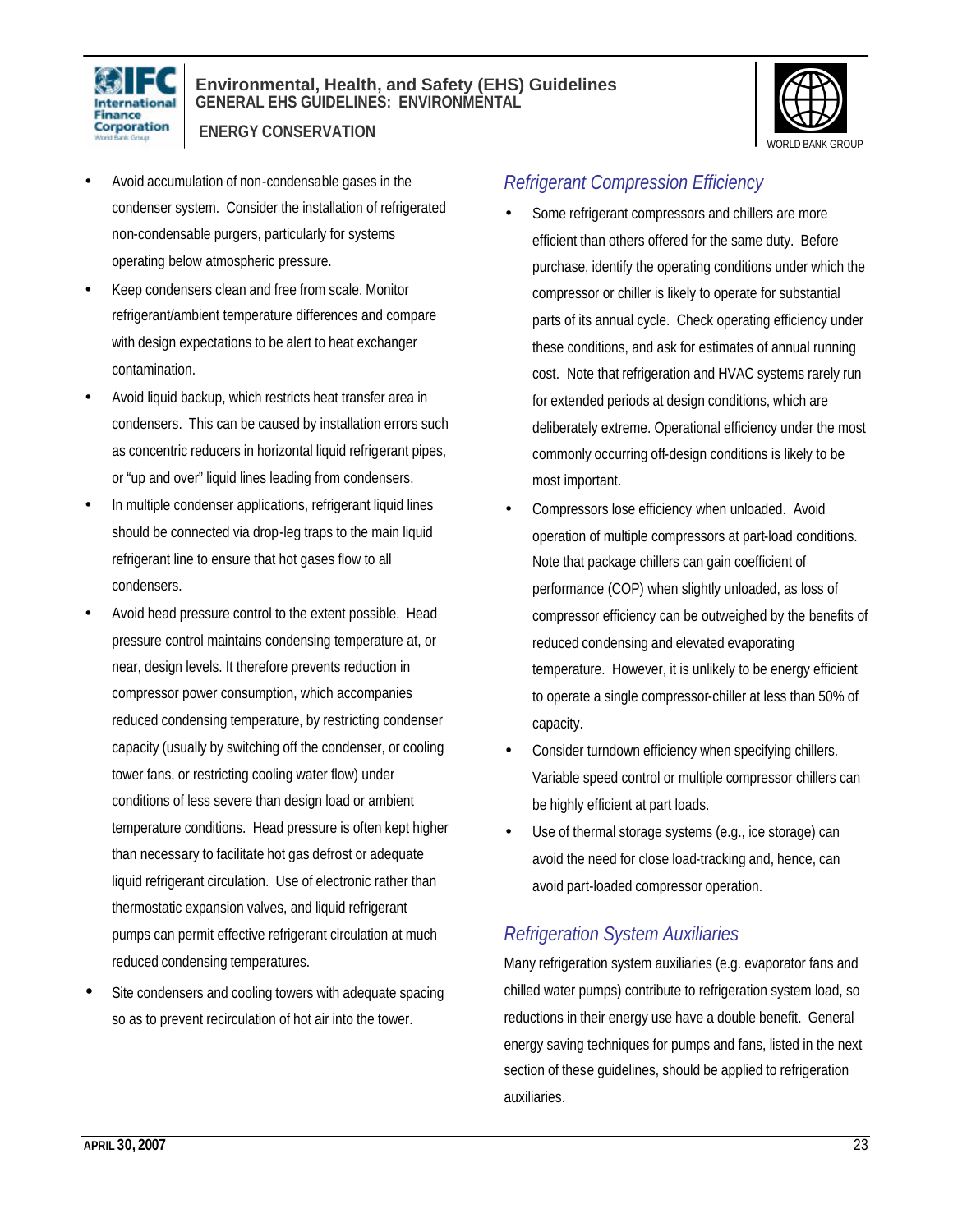



• Avoid accumulation of non-condensable gases in the condenser system. Consider the installation of refrigerated non-condensable purgers, particularly for systems operating below atmospheric pressure.

 **ENERGY CONSERVATION**

- Keep condensers clean and free from scale. Monitor refrigerant/ambient temperature differences and compare with design expectations to be alert to heat exchanger contamination.
- Avoid liquid backup, which restricts heat transfer area in condensers. This can be caused by installation errors such as concentric reducers in horizontal liquid refrigerant pipes, or "up and over" liquid lines leading from condensers.
- In multiple condenser applications, refrigerant liquid lines should be connected via drop-leg traps to the main liquid refrigerant line to ensure that hot gases flow to all condensers.
- Avoid head pressure control to the extent possible. Head pressure control maintains condensing temperature at, or near, design levels. It therefore prevents reduction in compressor power consumption, which accompanies reduced condensing temperature, by restricting condenser capacity (usually by switching off the condenser, or cooling tower fans, or restricting cooling water flow) under conditions of less severe than design load or ambient temperature conditions. Head pressure is often kept higher than necessary to facilitate hot gas defrost or adequate liquid refrigerant circulation. Use of electronic rather than thermostatic expansion valves, and liquid refrigerant pumps can permit effective refrigerant circulation at much reduced condensing temperatures.
- Site condensers and cooling towers with adequate spacing so as to prevent recirculation of hot air into the tower.

### *Refrigerant Compression Efficiency*

- Some refrigerant compressors and chillers are more efficient than others offered for the same duty. Before purchase, identify the operating conditions under which the compressor or chiller is likely to operate for substantial parts of its annual cycle. Check operating efficiency under these conditions, and ask for estimates of annual running cost. Note that refrigeration and HVAC systems rarely run for extended periods at design conditions, which are deliberately extreme. Operational efficiency under the most commonly occurring off-design conditions is likely to be most important.
- Compressors lose efficiency when unloaded. Avoid operation of multiple compressors at part-load conditions. Note that package chillers can gain coefficient of performance (COP) when slightly unloaded, as loss of compressor efficiency can be outweighed by the benefits of reduced condensing and elevated evaporating temperature. However, it is unlikely to be energy efficient to operate a single compressor-chiller at less than 50% of capacity.
- Consider turndown efficiency when specifying chillers. Variable speed control or multiple compressor chillers can be highly efficient at part loads.
- Use of thermal storage systems (e.g., ice storage) can avoid the need for close load-tracking and, hence, can avoid part-loaded compressor operation.

### *Refrigeration System Auxiliaries*

Many refrigeration system auxiliaries (e.g. evaporator fans and chilled water pumps) contribute to refrigeration system load, so reductions in their energy use have a double benefit. General energy saving techniques for pumps and fans, listed in the next section of these guidelines, should be applied to refrigeration auxiliaries.